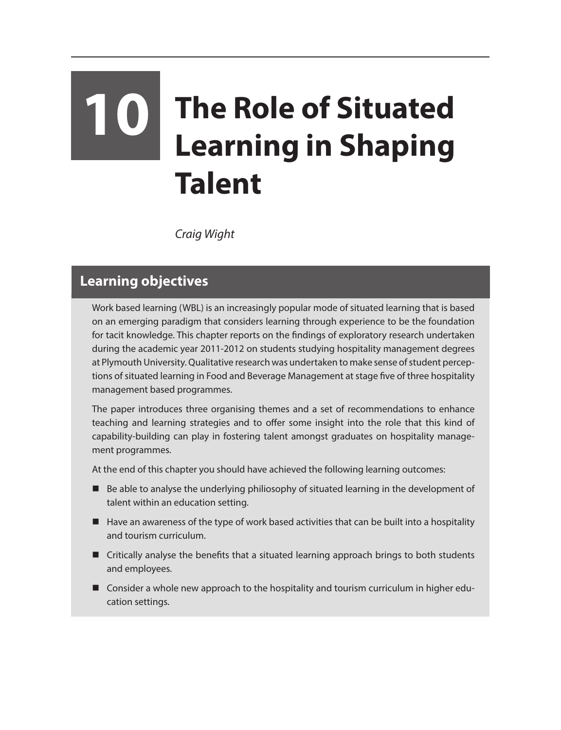## **10 The Role of Situated Learning in Shaping Talent**

*Craig Wight*

## **Learning objectives**

Work based learning (WBL) is an increasingly popular mode of situated learning that is based on an emerging paradigm that considers learning through experience to be the foundation for tacit knowledge. This chapter reports on the findings of exploratory research undertaken during the academic year 2011-2012 on students studying hospitality management degrees at Plymouth University. Qualitative research was undertaken to make sense of student perceptions of situated learning in Food and Beverage Management at stage five of three hospitality management based programmes.

The paper introduces three organising themes and a set of recommendations to enhance teaching and learning strategies and to offer some insight into the role that this kind of capability-building can play in fostering talent amongst graduates on hospitality management programmes.

At the end of this chapter you should have achieved the following learning outcomes:

- Be able to analyse the underlying philiosophy of situated learning in the development of talent within an education setting.
- Have an awareness of the type of work based activities that can be built into a hospitality and tourism curriculum.
- Critically analyse the benefits that a situated learning approach brings to both students and employees.
- Consider a whole new approach to the hospitality and tourism curriculum in higher education settings.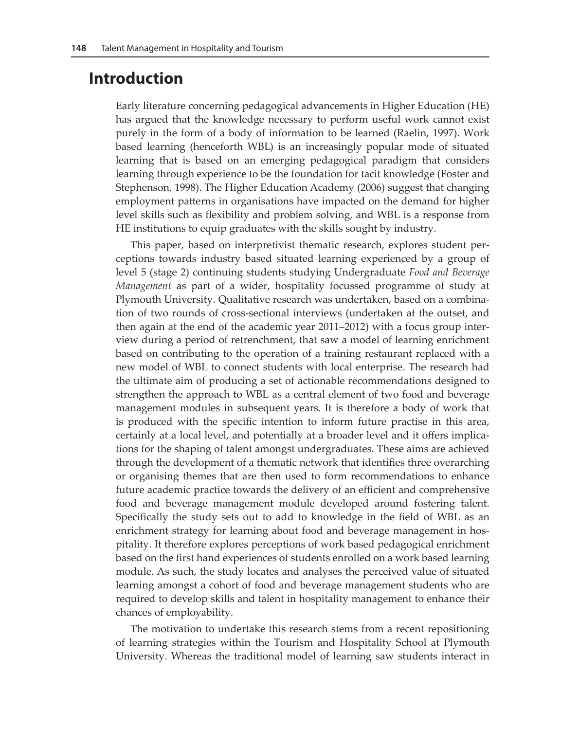## **Introduction**

Early literature concerning pedagogical advancements in Higher Education (HE) has argued that the knowledge necessary to perform useful work cannot exist purely in the form of a body of information to be learned (Raelin, 1997). Work based learning (henceforth WBL) is an increasingly popular mode of situated learning that is based on an emerging pedagogical paradigm that considers learning through experience to be the foundation for tacit knowledge (Foster and Stephenson, 1998). The Higher Education Academy (2006) suggest that changing employment patterns in organisations have impacted on the demand for higher level skills such as flexibility and problem solving, and WBL is a response from HE institutions to equip graduates with the skills sought by industry.

This paper, based on interpretivist thematic research, explores student perceptions towards industry based situated learning experienced by a group of level 5 (stage 2) continuing students studying Undergraduate *Food and Beverage Management* as part of a wider, hospitality focussed programme of study at Plymouth University. Qualitative research was undertaken, based on a combination of two rounds of cross-sectional interviews (undertaken at the outset, and then again at the end of the academic year 2011–2012) with a focus group interview during a period of retrenchment, that saw a model of learning enrichment based on contributing to the operation of a training restaurant replaced with a new model of WBL to connect students with local enterprise. The research had the ultimate aim of producing a set of actionable recommendations designed to strengthen the approach to WBL as a central element of two food and beverage management modules in subsequent years. It is therefore a body of work that is produced with the specific intention to inform future practise in this area, certainly at a local level, and potentially at a broader level and it offers implications for the shaping of talent amongst undergraduates. These aims are achieved through the development of a thematic network that identifies three overarching or organising themes that are then used to form recommendations to enhance future academic practice towards the delivery of an efficient and comprehensive food and beverage management module developed around fostering talent. Specifically the study sets out to add to knowledge in the field of WBL as an enrichment strategy for learning about food and beverage management in hospitality. It therefore explores perceptions of work based pedagogical enrichment based on the first hand experiences of students enrolled on a work based learning module. As such, the study locates and analyses the perceived value of situated learning amongst a cohort of food and beverage management students who are required to develop skills and talent in hospitality management to enhance their chances of employability.

The motivation to undertake this research stems from a recent repositioning of learning strategies within the Tourism and Hospitality School at Plymouth University. Whereas the traditional model of learning saw students interact in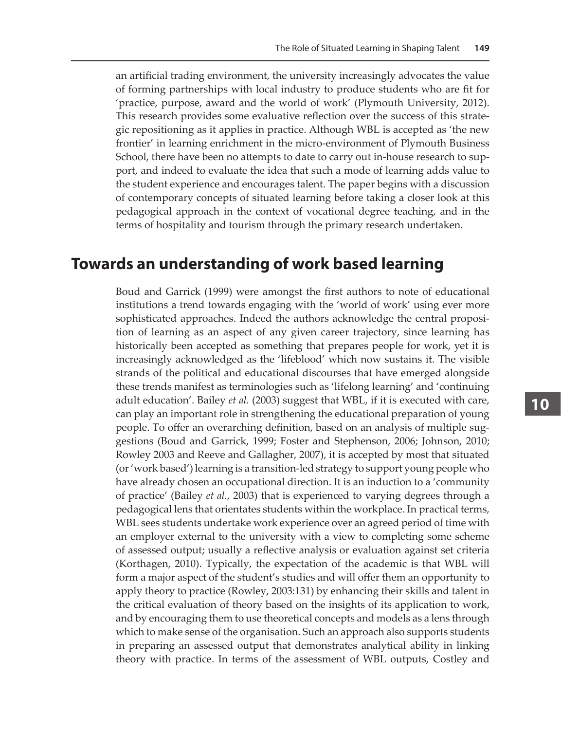an artificial trading environment, the university increasingly advocates the value of forming partnerships with local industry to produce students who are fit for 'practice, purpose, award and the world of work' (Plymouth University, 2012). This research provides some evaluative reflection over the success of this strategic repositioning as it applies in practice. Although WBL is accepted as 'the new frontier' in learning enrichment in the micro-environment of Plymouth Business School, there have been no attempts to date to carry out in-house research to support, and indeed to evaluate the idea that such a mode of learning adds value to the student experience and encourages talent. The paper begins with a discussion of contemporary concepts of situated learning before taking a closer look at this pedagogical approach in the context of vocational degree teaching, and in the terms of hospitality and tourism through the primary research undertaken.

## **Towards an understanding of work based learning**

Boud and Garrick (1999) were amongst the first authors to note of educational institutions a trend towards engaging with the 'world of work' using ever more sophisticated approaches. Indeed the authors acknowledge the central proposition of learning as an aspect of any given career trajectory, since learning has historically been accepted as something that prepares people for work, yet it is increasingly acknowledged as the 'lifeblood' which now sustains it. The visible strands of the political and educational discourses that have emerged alongside these trends manifest as terminologies such as 'lifelong learning' and 'continuing adult education'. Bailey *et al.* (2003) suggest that WBL, if it is executed with care, can play an important role in strengthening the educational preparation of young people. To offer an overarching definition, based on an analysis of multiple suggestions (Boud and Garrick, 1999; Foster and Stephenson, 2006; Johnson, 2010; Rowley 2003 and Reeve and Gallagher, 2007), it is accepted by most that situated (or 'work based') learning is a transition-led strategy to support young people who have already chosen an occupational direction. It is an induction to a 'community of practice' (Bailey *et al.*, 2003) that is experienced to varying degrees through a pedagogical lens that orientates students within the workplace. In practical terms, WBL sees students undertake work experience over an agreed period of time with an employer external to the university with a view to completing some scheme of assessed output; usually a reflective analysis or evaluation against set criteria (Korthagen, 2010). Typically, the expectation of the academic is that WBL will form a major aspect of the student's studies and will offer them an opportunity to apply theory to practice (Rowley, 2003:131) by enhancing their skills and talent in the critical evaluation of theory based on the insights of its application to work, and by encouraging them to use theoretical concepts and models as a lens through which to make sense of the organisation. Such an approach also supports students in preparing an assessed output that demonstrates analytical ability in linking theory with practice. In terms of the assessment of WBL outputs, Costley and